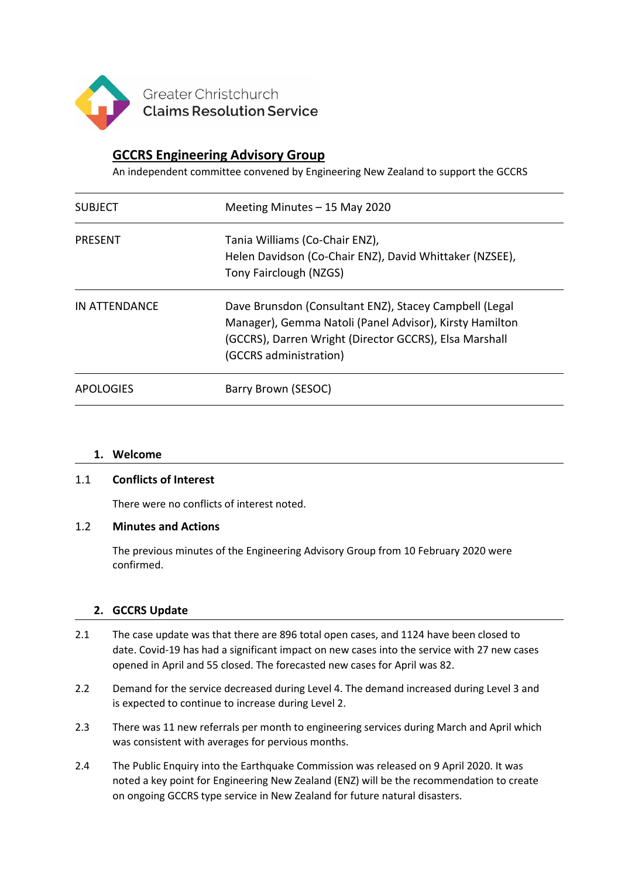

# **GCCRS Engineering Advisory Group**

An independent committee convened by Engineering New Zealand to support the GCCRS

| <b>SUBJECT</b>   | Meeting Minutes $-15$ May 2020                                                                                                                                                                        |
|------------------|-------------------------------------------------------------------------------------------------------------------------------------------------------------------------------------------------------|
| <b>PRESENT</b>   | Tania Williams (Co-Chair ENZ),<br>Helen Davidson (Co-Chair ENZ), David Whittaker (NZSEE),<br>Tony Fairclough (NZGS)                                                                                   |
| IN ATTENDANCE    | Dave Brunsdon (Consultant ENZ), Stacey Campbell (Legal<br>Manager), Gemma Natoli (Panel Advisor), Kirsty Hamilton<br>(GCCRS), Darren Wright (Director GCCRS), Elsa Marshall<br>(GCCRS administration) |
| <b>APOLOGIES</b> | Barry Brown (SESOC)                                                                                                                                                                                   |

#### **1. Welcome**

#### 1.1 **Conflicts of Interest**

There were no conflicts of interest noted.

#### 1.2 **Minutes and Actions**

The previous minutes of the Engineering Advisory Group from 10 February 2020 were confirmed.

## **2. GCCRS Update**

- 2.1 The case update was that there are 896 total open cases, and 1124 have been closed to date. Covid-19 has had a significant impact on new cases into the service with 27 new cases opened in April and 55 closed. The forecasted new cases for April was 82.
- 2.2 Demand for the service decreased during Level 4. The demand increased during Level 3 and is expected to continue to increase during Level 2.
- 2.3 There was 11 new referrals per month to engineering services during March and April which was consistent with averages for pervious months.
- 2.4 The Public Enquiry into the Earthquake Commission was released on 9 April 2020. It was noted a key point for Engineering New Zealand (ENZ) will be the recommendation to create on ongoing GCCRS type service in New Zealand for future natural disasters.